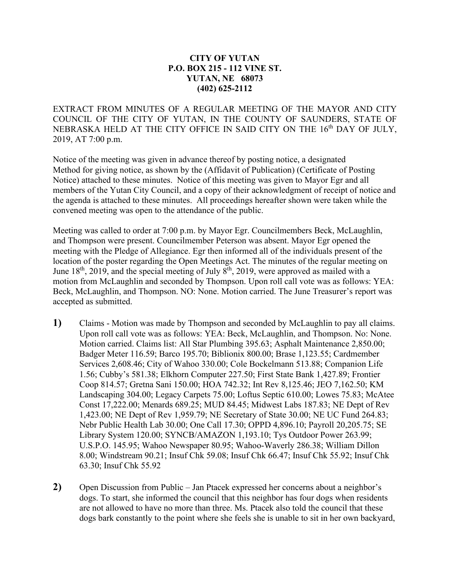## **CITY OF YUTAN P.O. BOX 215 - 112 VINE ST. YUTAN, NE 68073 (402) 625-2112**

EXTRACT FROM MINUTES OF A REGULAR MEETING OF THE MAYOR AND CITY COUNCIL OF THE CITY OF YUTAN, IN THE COUNTY OF SAUNDERS, STATE OF NEBRASKA HELD AT THE CITY OFFICE IN SAID CITY ON THE 16<sup>th</sup> DAY OF JULY, 2019, AT 7:00 p.m.

Notice of the meeting was given in advance thereof by posting notice, a designated Method for giving notice, as shown by the (Affidavit of Publication) (Certificate of Posting Notice) attached to these minutes. Notice of this meeting was given to Mayor Egr and all members of the Yutan City Council, and a copy of their acknowledgment of receipt of notice and the agenda is attached to these minutes. All proceedings hereafter shown were taken while the convened meeting was open to the attendance of the public.

Meeting was called to order at 7:00 p.m. by Mayor Egr. Councilmembers Beck, McLaughlin, and Thompson were present. Councilmember Peterson was absent. Mayor Egr opened the meeting with the Pledge of Allegiance. Egr then informed all of the individuals present of the location of the poster regarding the Open Meetings Act. The minutes of the regular meeting on June  $18<sup>th</sup>$ , 2019, and the special meeting of July  $8<sup>th</sup>$ , 2019, were approved as mailed with a motion from McLaughlin and seconded by Thompson. Upon roll call vote was as follows: YEA: Beck, McLaughlin, and Thompson. NO: None. Motion carried. The June Treasurer's report was accepted as submitted.

- **1)** Claims Motion was made by Thompson and seconded by McLaughlin to pay all claims. Upon roll call vote was as follows: YEA: Beck, McLaughlin, and Thompson. No: None. Motion carried. Claims list: All Star Plumbing 395.63; Asphalt Maintenance 2,850.00; Badger Meter 116.59; Barco 195.70; Biblionix 800.00; Brase 1,123.55; Cardmember Services 2,608.46; City of Wahoo 330.00; Cole Bockelmann 513.88; Companion Life 1.56; Cubby's 581.38; Elkhorn Computer 227.50; First State Bank 1,427.89; Frontier Coop 814.57; Gretna Sani 150.00; HOA 742.32; Int Rev 8,125.46; JEO 7,162.50; KM Landscaping 304.00; Legacy Carpets 75.00; Loftus Septic 610.00; Lowes 75.83; McAtee Const 17,222.00; Menards 689.25; MUD 84.45; Midwest Labs 187.83; NE Dept of Rev 1,423.00; NE Dept of Rev 1,959.79; NE Secretary of State 30.00; NE UC Fund 264.83; Nebr Public Health Lab 30.00; One Call 17.30; OPPD 4,896.10; Payroll 20,205.75; SE Library System 120.00; SYNCB/AMAZON 1,193.10; Tys Outdoor Power 263.99; U.S.P.O. 145.95; Wahoo Newspaper 80.95; Wahoo-Waverly 286.38; William Dillon 8.00; Windstream 90.21; Insuf Chk 59.08; Insuf Chk 66.47; Insuf Chk 55.92; Insuf Chk 63.30; Insuf Chk 55.92
- **2)** Open Discussion from Public Jan Ptacek expressed her concerns about a neighbor's dogs. To start, she informed the council that this neighbor has four dogs when residents are not allowed to have no more than three. Ms. Ptacek also told the council that these dogs bark constantly to the point where she feels she is unable to sit in her own backyard,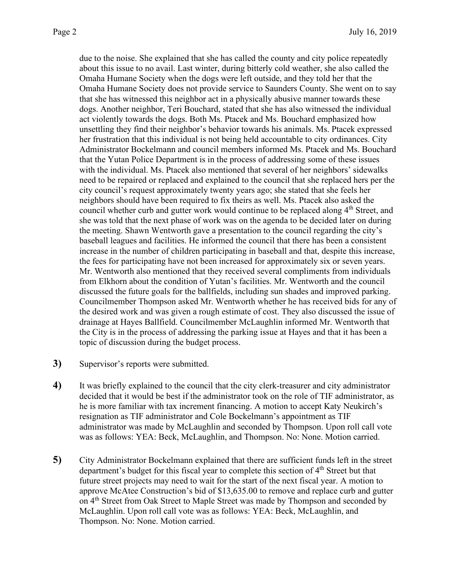due to the noise. She explained that she has called the county and city police repeatedly about this issue to no avail. Last winter, during bitterly cold weather, she also called the Omaha Humane Society when the dogs were left outside, and they told her that the Omaha Humane Society does not provide service to Saunders County. She went on to say that she has witnessed this neighbor act in a physically abusive manner towards these dogs. Another neighbor, Teri Bouchard, stated that she has also witnessed the individual act violently towards the dogs. Both Ms. Ptacek and Ms. Bouchard emphasized how unsettling they find their neighbor's behavior towards his animals. Ms. Ptacek expressed her frustration that this individual is not being held accountable to city ordinances. City Administrator Bockelmann and council members informed Ms. Ptacek and Ms. Bouchard that the Yutan Police Department is in the process of addressing some of these issues with the individual. Ms. Ptacek also mentioned that several of her neighbors' sidewalks need to be repaired or replaced and explained to the council that she replaced hers per the city council's request approximately twenty years ago; she stated that she feels her neighbors should have been required to fix theirs as well. Ms. Ptacek also asked the council whether curb and gutter work would continue to be replaced along  $4<sup>th</sup>$  Street, and she was told that the next phase of work was on the agenda to be decided later on during the meeting. Shawn Wentworth gave a presentation to the council regarding the city's baseball leagues and facilities. He informed the council that there has been a consistent increase in the number of children participating in baseball and that, despite this increase, the fees for participating have not been increased for approximately six or seven years. Mr. Wentworth also mentioned that they received several compliments from individuals from Elkhorn about the condition of Yutan's facilities. Mr. Wentworth and the council discussed the future goals for the ballfields, including sun shades and improved parking. Councilmember Thompson asked Mr. Wentworth whether he has received bids for any of the desired work and was given a rough estimate of cost. They also discussed the issue of drainage at Hayes Ballfield. Councilmember McLaughlin informed Mr. Wentworth that the City is in the process of addressing the parking issue at Hayes and that it has been a topic of discussion during the budget process.

- **3)** Supervisor's reports were submitted.
- **4)** It was briefly explained to the council that the city clerk-treasurer and city administrator decided that it would be best if the administrator took on the role of TIF administrator, as he is more familiar with tax increment financing. A motion to accept Katy Neukirch's resignation as TIF administrator and Cole Bockelmann's appointment as TIF administrator was made by McLaughlin and seconded by Thompson. Upon roll call vote was as follows: YEA: Beck, McLaughlin, and Thompson. No: None. Motion carried.
- **5)** City Administrator Bockelmann explained that there are sufficient funds left in the street department's budget for this fiscal year to complete this section of  $4<sup>th</sup>$  Street but that future street projects may need to wait for the start of the next fiscal year. A motion to approve McAtee Construction's bid of \$13,635.00 to remove and replace curb and gutter on 4<sup>th</sup> Street from Oak Street to Maple Street was made by Thompson and seconded by McLaughlin. Upon roll call vote was as follows: YEA: Beck, McLaughlin, and Thompson. No: None. Motion carried.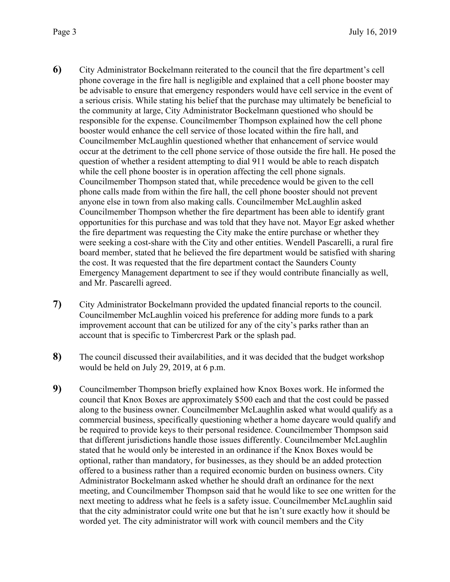- **6)** City Administrator Bockelmann reiterated to the council that the fire department's cell phone coverage in the fire hall is negligible and explained that a cell phone booster may be advisable to ensure that emergency responders would have cell service in the event of a serious crisis. While stating his belief that the purchase may ultimately be beneficial to the community at large, City Administrator Bockelmann questioned who should be responsible for the expense. Councilmember Thompson explained how the cell phone booster would enhance the cell service of those located within the fire hall, and Councilmember McLaughlin questioned whether that enhancement of service would occur at the detriment to the cell phone service of those outside the fire hall. He posed the question of whether a resident attempting to dial 911 would be able to reach dispatch while the cell phone booster is in operation affecting the cell phone signals. Councilmember Thompson stated that, while precedence would be given to the cell phone calls made from within the fire hall, the cell phone booster should not prevent anyone else in town from also making calls. Councilmember McLaughlin asked Councilmember Thompson whether the fire department has been able to identify grant opportunities for this purchase and was told that they have not. Mayor Egr asked whether the fire department was requesting the City make the entire purchase or whether they were seeking a cost-share with the City and other entities. Wendell Pascarelli, a rural fire board member, stated that he believed the fire department would be satisfied with sharing the cost. It was requested that the fire department contact the Saunders County Emergency Management department to see if they would contribute financially as well, and Mr. Pascarelli agreed.
- **7)** City Administrator Bockelmann provided the updated financial reports to the council. Councilmember McLaughlin voiced his preference for adding more funds to a park improvement account that can be utilized for any of the city's parks rather than an account that is specific to Timbercrest Park or the splash pad.
- **8)** The council discussed their availabilities, and it was decided that the budget workshop would be held on July 29, 2019, at 6 p.m.
- **9)** Councilmember Thompson briefly explained how Knox Boxes work. He informed the council that Knox Boxes are approximately \$500 each and that the cost could be passed along to the business owner. Councilmember McLaughlin asked what would qualify as a commercial business, specifically questioning whether a home daycare would qualify and be required to provide keys to their personal residence. Councilmember Thompson said that different jurisdictions handle those issues differently. Councilmember McLaughlin stated that he would only be interested in an ordinance if the Knox Boxes would be optional, rather than mandatory, for businesses, as they should be an added protection offered to a business rather than a required economic burden on business owners. City Administrator Bockelmann asked whether he should draft an ordinance for the next meeting, and Councilmember Thompson said that he would like to see one written for the next meeting to address what he feels is a safety issue. Councilmember McLaughlin said that the city administrator could write one but that he isn't sure exactly how it should be worded yet. The city administrator will work with council members and the City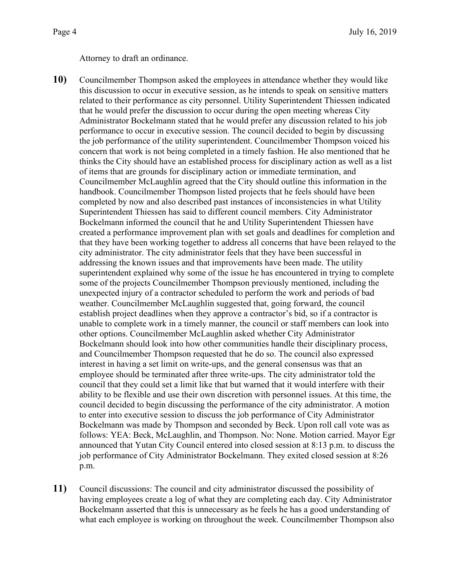Attorney to draft an ordinance.

- **10)** Councilmember Thompson asked the employees in attendance whether they would like this discussion to occur in executive session, as he intends to speak on sensitive matters related to their performance as city personnel. Utility Superintendent Thiessen indicated that he would prefer the discussion to occur during the open meeting whereas City Administrator Bockelmann stated that he would prefer any discussion related to his job performance to occur in executive session. The council decided to begin by discussing the job performance of the utility superintendent. Councilmember Thompson voiced his concern that work is not being completed in a timely fashion. He also mentioned that he thinks the City should have an established process for disciplinary action as well as a list of items that are grounds for disciplinary action or immediate termination, and Councilmember McLaughlin agreed that the City should outline this information in the handbook. Councilmember Thompson listed projects that he feels should have been completed by now and also described past instances of inconsistencies in what Utility Superintendent Thiessen has said to different council members. City Administrator Bockelmann informed the council that he and Utility Superintendent Thiessen have created a performance improvement plan with set goals and deadlines for completion and that they have been working together to address all concerns that have been relayed to the city administrator. The city administrator feels that they have been successful in addressing the known issues and that improvements have been made. The utility superintendent explained why some of the issue he has encountered in trying to complete some of the projects Councilmember Thompson previously mentioned, including the unexpected injury of a contractor scheduled to perform the work and periods of bad weather. Councilmember McLaughlin suggested that, going forward, the council establish project deadlines when they approve a contractor's bid, so if a contractor is unable to complete work in a timely manner, the council or staff members can look into other options. Councilmember McLaughlin asked whether City Administrator Bockelmann should look into how other communities handle their disciplinary process, and Councilmember Thompson requested that he do so. The council also expressed interest in having a set limit on write-ups, and the general consensus was that an employee should be terminated after three write-ups. The city administrator told the council that they could set a limit like that but warned that it would interfere with their ability to be flexible and use their own discretion with personnel issues. At this time, the council decided to begin discussing the performance of the city administrator. A motion to enter into executive session to discuss the job performance of City Administrator Bockelmann was made by Thompson and seconded by Beck. Upon roll call vote was as follows: YEA: Beck, McLaughlin, and Thompson. No: None. Motion carried. Mayor Egr announced that Yutan City Council entered into closed session at 8:13 p.m. to discuss the job performance of City Administrator Bockelmann. They exited closed session at 8:26 p.m.
- **11)** Council discussions: The council and city administrator discussed the possibility of having employees create a log of what they are completing each day. City Administrator Bockelmann asserted that this is unnecessary as he feels he has a good understanding of what each employee is working on throughout the week. Councilmember Thompson also